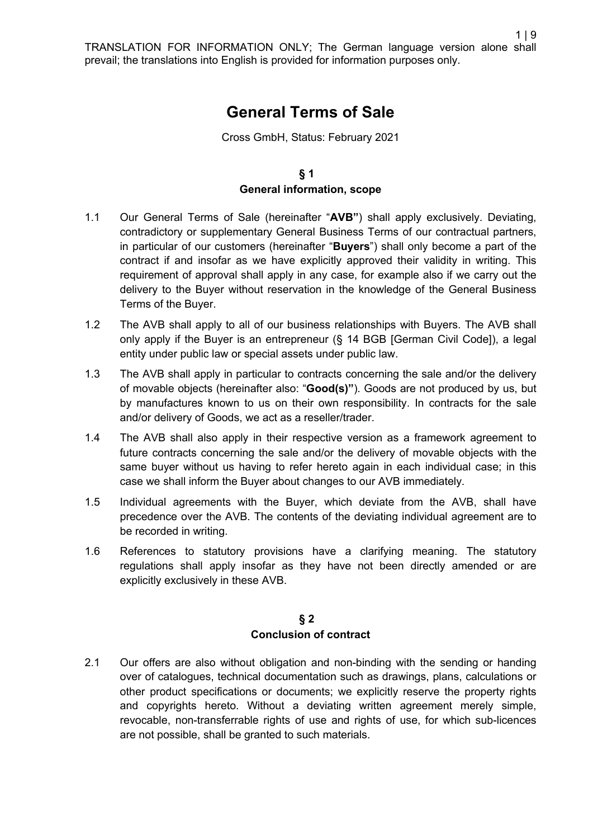# **General Terms of Sale**

Cross GmbH, Status: February 2021

## **§ 1 General information, scope**

- 1.1 Our General Terms of Sale (hereinafter "**AVB"**) shall apply exclusively. Deviating, contradictory or supplementary General Business Terms of our contractual partners, in particular of our customers (hereinafter "**Buyers**") shall only become a part of the contract if and insofar as we have explicitly approved their validity in writing. This requirement of approval shall apply in any case, for example also if we carry out the delivery to the Buyer without reservation in the knowledge of the General Business Terms of the Buyer.
- 1.2 The AVB shall apply to all of our business relationships with Buyers. The AVB shall only apply if the Buyer is an entrepreneur (§ 14 BGB [German Civil Code]), a legal entity under public law or special assets under public law.
- 1.3 The AVB shall apply in particular to contracts concerning the sale and/or the delivery of movable objects (hereinafter also: "**Good(s)"**). Goods are not produced by us, but by manufactures known to us on their own responsibility. In contracts for the sale and/or delivery of Goods, we act as a reseller/trader.
- 1.4 The AVB shall also apply in their respective version as a framework agreement to future contracts concerning the sale and/or the delivery of movable objects with the same buyer without us having to refer hereto again in each individual case; in this case we shall inform the Buyer about changes to our AVB immediately.
- 1.5 Individual agreements with the Buyer, which deviate from the AVB, shall have precedence over the AVB. The contents of the deviating individual agreement are to be recorded in writing.
- 1.6 References to statutory provisions have a clarifying meaning. The statutory regulations shall apply insofar as they have not been directly amended or are explicitly exclusively in these AVB.

#### **§ 2 Conclusion of contract**

2.1 Our offers are also without obligation and non-binding with the sending or handing over of catalogues, technical documentation such as drawings, plans, calculations or other product specifications or documents; we explicitly reserve the property rights and copyrights hereto. Without a deviating written agreement merely simple, revocable, non-transferrable rights of use and rights of use, for which sub-licences are not possible, shall be granted to such materials.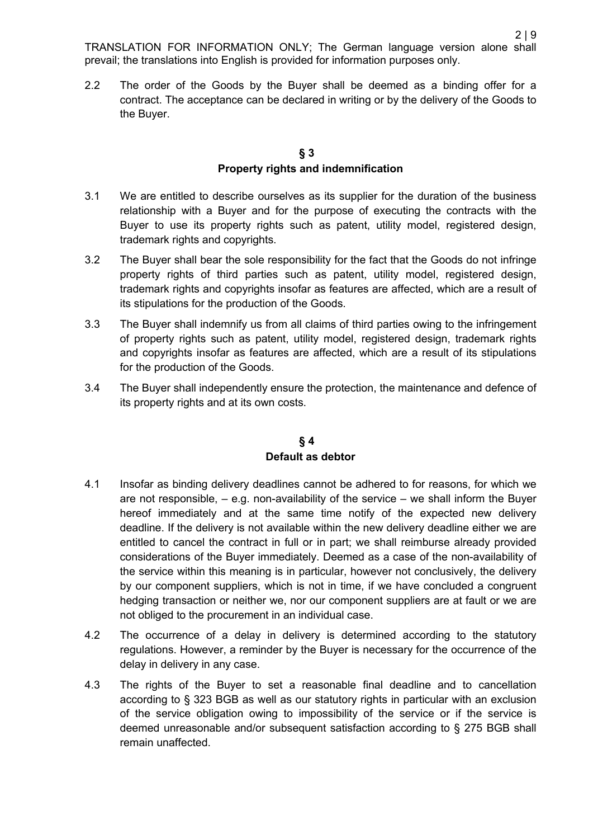2.2 The order of the Goods by the Buyer shall be deemed as a binding offer for a contract. The acceptance can be declared in writing or by the delivery of the Goods to the Buyer.

#### **§ 3 Property rights and indemnification**

- 3.1 We are entitled to describe ourselves as its supplier for the duration of the business relationship with a Buyer and for the purpose of executing the contracts with the Buyer to use its property rights such as patent, utility model, registered design, trademark rights and copyrights.
- 3.2 The Buyer shall bear the sole responsibility for the fact that the Goods do not infringe property rights of third parties such as patent, utility model, registered design, trademark rights and copyrights insofar as features are affected, which are a result of its stipulations for the production of the Goods.
- 3.3 The Buyer shall indemnify us from all claims of third parties owing to the infringement of property rights such as patent, utility model, registered design, trademark rights and copyrights insofar as features are affected, which are a result of its stipulations for the production of the Goods.
- 3.4 The Buyer shall independently ensure the protection, the maintenance and defence of its property rights and at its own costs.

#### **§ 4 Default as debtor**

- 4.1 Insofar as binding delivery deadlines cannot be adhered to for reasons, for which we are not responsible,  $-$  e.g. non-availability of the service  $-$  we shall inform the Buyer hereof immediately and at the same time notify of the expected new delivery deadline. If the delivery is not available within the new delivery deadline either we are entitled to cancel the contract in full or in part; we shall reimburse already provided considerations of the Buyer immediately. Deemed as a case of the non-availability of the service within this meaning is in particular, however not conclusively, the delivery by our component suppliers, which is not in time, if we have concluded a congruent hedging transaction or neither we, nor our component suppliers are at fault or we are not obliged to the procurement in an individual case.
- 4.2 The occurrence of a delay in delivery is determined according to the statutory regulations. However, a reminder by the Buyer is necessary for the occurrence of the delay in delivery in any case.
- 4.3 The rights of the Buyer to set a reasonable final deadline and to cancellation according to § 323 BGB as well as our statutory rights in particular with an exclusion of the service obligation owing to impossibility of the service or if the service is deemed unreasonable and/or subsequent satisfaction according to § 275 BGB shall remain unaffected.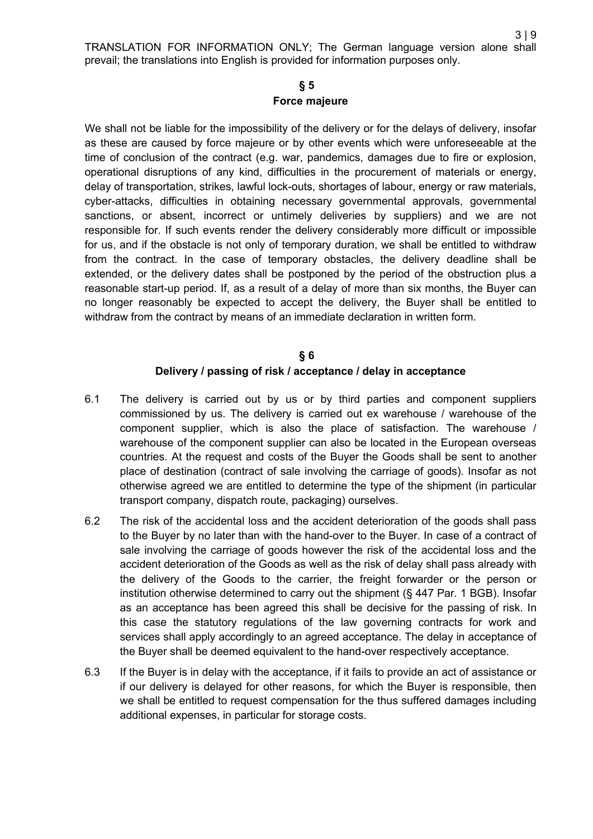3 | 9

# **§ 5 Force majeure**

We shall not be liable for the impossibility of the delivery or for the delays of delivery, insofar as these are caused by force majeure or by other events which were unforeseeable at the time of conclusion of the contract (e.g. war, pandemics, damages due to fire or explosion, operational disruptions of any kind, difficulties in the procurement of materials or energy, delay of transportation, strikes, lawful lock-outs, shortages of labour, energy or raw materials, cyber-attacks, difficulties in obtaining necessary governmental approvals, governmental sanctions, or absent, incorrect or untimely deliveries by suppliers) and we are not responsible for. If such events render the delivery considerably more difficult or impossible for us, and if the obstacle is not only of temporary duration, we shall be entitled to withdraw from the contract. In the case of temporary obstacles, the delivery deadline shall be extended, or the delivery dates shall be postponed by the period of the obstruction plus a reasonable start-up period. If, as a result of a delay of more than six months, the Buyer can no longer reasonably be expected to accept the delivery, the Buyer shall be entitled to withdraw from the contract by means of an immediate declaration in written form.

## **§ 6 Delivery / passing of risk / acceptance / delay in acceptance**

- 6.1 The delivery is carried out by us or by third parties and component suppliers commissioned by us. The delivery is carried out ex warehouse / warehouse of the component supplier, which is also the place of satisfaction. The warehouse / warehouse of the component supplier can also be located in the European overseas countries. At the request and costs of the Buyer the Goods shall be sent to another place of destination (contract of sale involving the carriage of goods). Insofar as not otherwise agreed we are entitled to determine the type of the shipment (in particular transport company, dispatch route, packaging) ourselves.
- 6.2 The risk of the accidental loss and the accident deterioration of the goods shall pass to the Buyer by no later than with the hand-over to the Buyer. In case of a contract of sale involving the carriage of goods however the risk of the accidental loss and the accident deterioration of the Goods as well as the risk of delay shall pass already with the delivery of the Goods to the carrier, the freight forwarder or the person or institution otherwise determined to carry out the shipment (§ 447 Par. 1 BGB). Insofar as an acceptance has been agreed this shall be decisive for the passing of risk. In this case the statutory regulations of the law governing contracts for work and services shall apply accordingly to an agreed acceptance. The delay in acceptance of the Buyer shall be deemed equivalent to the hand-over respectively acceptance.
- 6.3 If the Buyer is in delay with the acceptance, if it fails to provide an act of assistance or if our delivery is delayed for other reasons, for which the Buyer is responsible, then we shall be entitled to request compensation for the thus suffered damages including additional expenses, in particular for storage costs.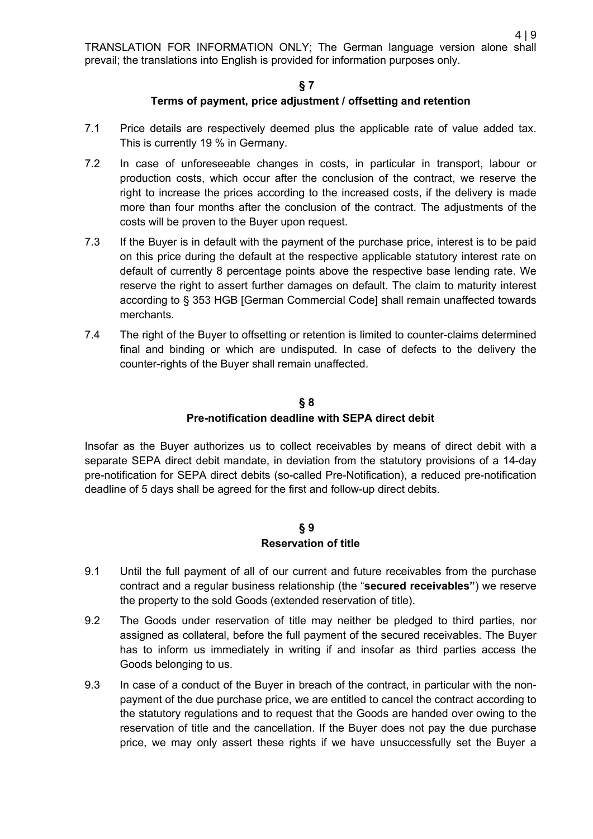#### **§ 7**

#### **Terms of payment, price adjustment / offsetting and retention**

- 7.1 Price details are respectively deemed plus the applicable rate of value added tax. This is currently 19 % in Germany.
- 7.2 In case of unforeseeable changes in costs, in particular in transport, labour or production costs, which occur after the conclusion of the contract, we reserve the right to increase the prices according to the increased costs, if the delivery is made more than four months after the conclusion of the contract. The adjustments of the costs will be proven to the Buyer upon request.
- 7.3 If the Buyer is in default with the payment of the purchase price, interest is to be paid on this price during the default at the respective applicable statutory interest rate on default of currently 8 percentage points above the respective base lending rate. We reserve the right to assert further damages on default. The claim to maturity interest according to § 353 HGB [German Commercial Code] shall remain unaffected towards merchants.
- 7.4 The right of the Buyer to offsetting or retention is limited to counter-claims determined final and binding or which are undisputed. In case of defects to the delivery the counter-rights of the Buyer shall remain unaffected.

## **§ 8 Pre-notification deadline with SEPA direct debit**

Insofar as the Buyer authorizes us to collect receivables by means of direct debit with a separate SEPA direct debit mandate, in deviation from the statutory provisions of a 14-day pre-notification for SEPA direct debits (so-called Pre-Notification), a reduced pre-notification deadline of 5 days shall be agreed for the first and follow-up direct debits.

#### **§ 9 Reservation of title**

- 9.1 Until the full payment of all of our current and future receivables from the purchase contract and a regular business relationship (the "**secured receivables"**) we reserve the property to the sold Goods (extended reservation of title).
- <span id="page-3-0"></span>9.2 The Goods under reservation of title may neither be pledged to third parties, nor assigned as collateral, before the full payment of the secured receivables. The Buyer has to inform us immediately in writing if and insofar as third parties access the Goods belonging to us.
- 9.3 In case of a conduct of the Buyer in breach of the contract, in particular with the nonpayment of the due purchase price, we are entitled to cancel the contract according to the statutory regulations and to request that the Goods are handed over owing to the reservation of title and the cancellation. If the Buyer does not pay the due purchase price, we may only assert these rights if we have unsuccessfully set the Buyer a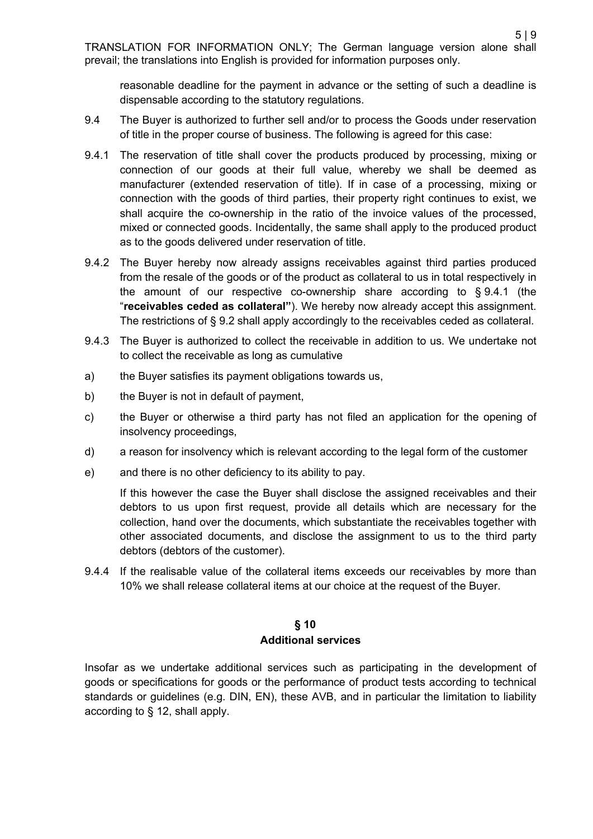reasonable deadline for the payment in advance or the setting of such a deadline is dispensable according to the statutory regulations.

- 9.4 The Buyer is authorized to further sell and/or to process the Goods under reservation of title in the proper course of business. The following is agreed for this case:
- <span id="page-4-0"></span>9.4.1 The reservation of title shall cover the products produced by processing, mixing or connection of our goods at their full value, whereby we shall be deemed as manufacturer (extended reservation of title). If in case of a processing, mixing or connection with the goods of third parties, their property right continues to exist, we shall acquire the co-ownership in the ratio of the invoice values of the processed, mixed or connected goods. Incidentally, the same shall apply to the produced product as to the goods delivered under reservation of title.
- 9.4.2 The Buyer hereby now already assigns receivables against third parties produced from the resale of the goods or of the product as collateral to us in total respectively in the amount of our respective co-ownership share according to § [9.4.1](#page-4-0) (the "**receivables ceded as collateral"**). We hereby now already accept this assignment. The restrictions of § [9.2](#page-3-0) shall apply accordingly to the receivables ceded as collateral.
- 9.4.3 The Buyer is authorized to collect the receivable in addition to us. We undertake not to collect the receivable as long as cumulative
- a) the Buyer satisfies its payment obligations towards us,
- b) the Buyer is not in default of payment,
- c) the Buyer or otherwise a third party has not filed an application for the opening of insolvency proceedings,
- d) a reason for insolvency which is relevant according to the legal form of the customer
- e) and there is no other deficiency to its ability to pay.

If this however the case the Buyer shall disclose the assigned receivables and their debtors to us upon first request, provide all details which are necessary for the collection, hand over the documents, which substantiate the receivables together with other associated documents, and disclose the assignment to us to the third party debtors (debtors of the customer).

9.4.4 If the realisable value of the collateral items exceeds our receivables by more than 10% we shall release collateral items at our choice at the request of the Buyer.

#### **§ 10 Additional services**

Insofar as we undertake additional services such as participating in the development of goods or specifications for goods or the performance of product tests according to technical standards or guidelines (e.g. DIN, EN), these AVB, and in particular the limitation to liability according to § 12, shall apply.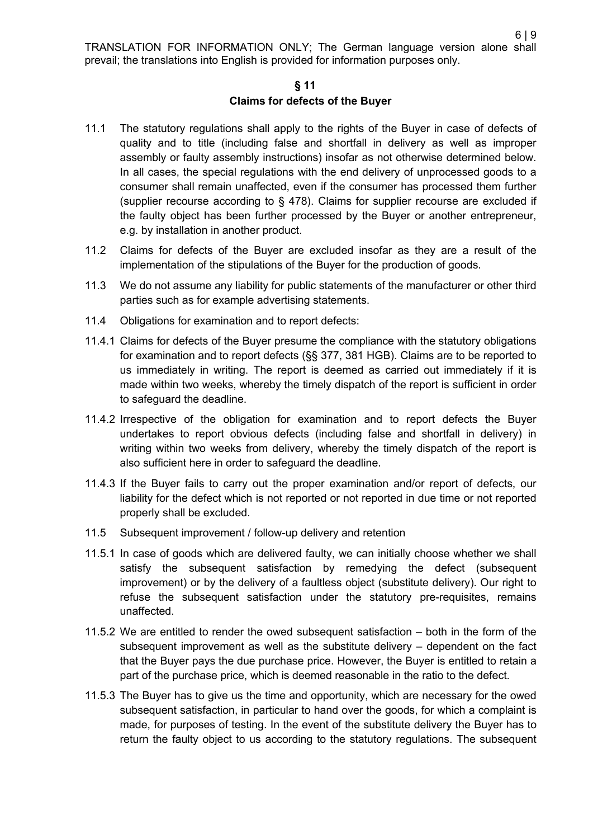#### **§ 11**

#### **Claims for defects of the Buyer**

- 11.1 The statutory regulations shall apply to the rights of the Buyer in case of defects of quality and to title (including false and shortfall in delivery as well as improper assembly or faulty assembly instructions) insofar as not otherwise determined below. In all cases, the special regulations with the end delivery of unprocessed goods to a consumer shall remain unaffected, even if the consumer has processed them further (supplier recourse according to § 478). Claims for supplier recourse are excluded if the faulty object has been further processed by the Buyer or another entrepreneur, e.g. by installation in another product.
- 11.2 Claims for defects of the Buyer are excluded insofar as they are a result of the implementation of the stipulations of the Buyer for the production of goods.
- 11.3 We do not assume any liability for public statements of the manufacturer or other third parties such as for example advertising statements.
- 11.4 Obligations for examination and to report defects:
- 11.4.1 Claims for defects of the Buyer presume the compliance with the statutory obligations for examination and to report defects (§§ 377, 381 HGB). Claims are to be reported to us immediately in writing. The report is deemed as carried out immediately if it is made within two weeks, whereby the timely dispatch of the report is sufficient in order to safeguard the deadline.
- 11.4.2 Irrespective of the obligation for examination and to report defects the Buyer undertakes to report obvious defects (including false and shortfall in delivery) in writing within two weeks from delivery, whereby the timely dispatch of the report is also sufficient here in order to safeguard the deadline.
- 11.4.3 If the Buyer fails to carry out the proper examination and/or report of defects, our liability for the defect which is not reported or not reported in due time or not reported properly shall be excluded.
- 11.5 Subsequent improvement / follow-up delivery and retention
- 11.5.1 In case of goods which are delivered faulty, we can initially choose whether we shall satisfy the subsequent satisfaction by remedying the defect (subsequent improvement) or by the delivery of a faultless object (substitute delivery). Our right to refuse the subsequent satisfaction under the statutory pre-requisites, remains unaffected.
- 11.5.2 We are entitled to render the owed subsequent satisfaction both in the form of the subsequent improvement as well as the substitute delivery – dependent on the fact that the Buyer pays the due purchase price. However, the Buyer is entitled to retain a part of the purchase price, which is deemed reasonable in the ratio to the defect.
- 11.5.3 The Buyer has to give us the time and opportunity, which are necessary for the owed subsequent satisfaction, in particular to hand over the goods, for which a complaint is made, for purposes of testing. In the event of the substitute delivery the Buyer has to return the faulty object to us according to the statutory regulations. The subsequent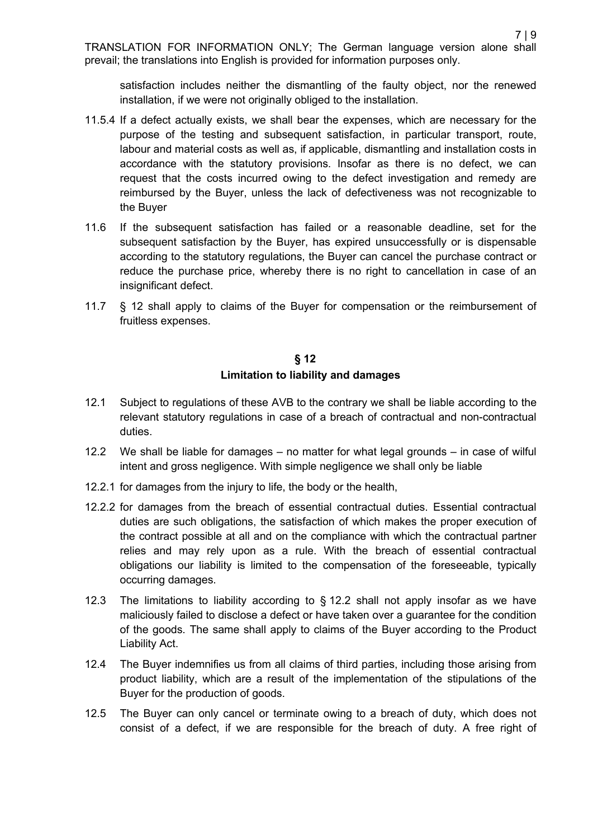satisfaction includes neither the dismantling of the faulty object, nor the renewed installation, if we were not originally obliged to the installation.

- 11.5.4 If a defect actually exists, we shall bear the expenses, which are necessary for the purpose of the testing and subsequent satisfaction, in particular transport, route, labour and material costs as well as, if applicable, dismantling and installation costs in accordance with the statutory provisions. Insofar as there is no defect, we can request that the costs incurred owing to the defect investigation and remedy are reimbursed by the Buyer, unless the lack of defectiveness was not recognizable to the Buyer
- 11.6 If the subsequent satisfaction has failed or a reasonable deadline, set for the subsequent satisfaction by the Buyer, has expired unsuccessfully or is dispensable according to the statutory regulations, the Buyer can cancel the purchase contract or reduce the purchase price, whereby there is no right to cancellation in case of an insignificant defect.
- 11.7 [§ 12](#page-6-0) shall apply to claims of the Buyer for compensation or the reimbursement of fruitless expenses.

## **§ 12 Limitation to liability and damages**

- <span id="page-6-0"></span>12.1 Subject to regulations of these AVB to the contrary we shall be liable according to the relevant statutory regulations in case of a breach of contractual and non-contractual duties.
- <span id="page-6-1"></span>12.2 We shall be liable for damages – no matter for what legal grounds – in case of wilful intent and gross negligence. With simple negligence we shall only be liable
- 12.2.1 for damages from the injury to life, the body or the health,
- 12.2.2 for damages from the breach of essential contractual duties. Essential contractual duties are such obligations, the satisfaction of which makes the proper execution of the contract possible at all and on the compliance with which the contractual partner relies and may rely upon as a rule. With the breach of essential contractual obligations our liability is limited to the compensation of the foreseeable, typically occurring damages.
- 12.3 The limitations to liability according to § [12.2](#page-6-1) shall not apply insofar as we have maliciously failed to disclose a defect or have taken over a guarantee for the condition of the goods. The same shall apply to claims of the Buyer according to the Product Liability Act.
- 12.4 The Buyer indemnifies us from all claims of third parties, including those arising from product liability, which are a result of the implementation of the stipulations of the Buyer for the production of goods.
- 12.5 The Buyer can only cancel or terminate owing to a breach of duty, which does not consist of a defect, if we are responsible for the breach of duty. A free right of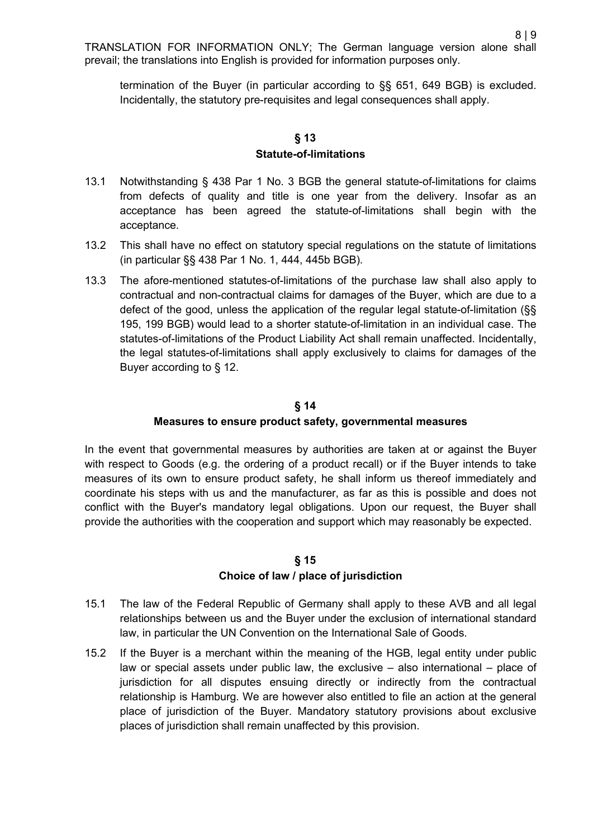termination of the Buyer (in particular according to §§ 651, 649 BGB) is excluded. Incidentally, the statutory pre-requisites and legal consequences shall apply.

## **§ 13 Statute-of-limitations**

- 13.1 Notwithstanding § 438 Par 1 No. 3 BGB the general statute-of-limitations for claims from defects of quality and title is one year from the delivery. Insofar as an acceptance has been agreed the statute-of-limitations shall begin with the acceptance.
- 13.2 This shall have no effect on statutory special regulations on the statute of limitations (in particular §§ 438 Par 1 No. 1, 444, 445b BGB).
- 13.3 The afore-mentioned statutes-of-limitations of the purchase law shall also apply to contractual and non-contractual claims for damages of the Buyer, which are due to a defect of the good, unless the application of the regular legal statute-of-limitation (§§ 195, 199 BGB) would lead to a shorter statute-of-limitation in an individual case. The statutes-of-limitations of the Product Liability Act shall remain unaffected. Incidentally, the legal statutes-of-limitations shall apply exclusively to claims for damages of the Buyer according to [§ 12.](#page-6-0)

# **§ 14 Measures to ensure product safety, governmental measures**

In the event that governmental measures by authorities are taken at or against the Buyer with respect to Goods (e.g. the ordering of a product recall) or if the Buyer intends to take measures of its own to ensure product safety, he shall inform us thereof immediately and coordinate his steps with us and the manufacturer, as far as this is possible and does not conflict with the Buyer's mandatory legal obligations. Upon our request, the Buyer shall provide the authorities with the cooperation and support which may reasonably be expected.

## **§ 15 Choice of law / place of jurisdiction**

- 15.1 The law of the Federal Republic of Germany shall apply to these AVB and all legal relationships between us and the Buyer under the exclusion of international standard law, in particular the UN Convention on the International Sale of Goods.
- 15.2 If the Buyer is a merchant within the meaning of the HGB, legal entity under public law or special assets under public law, the exclusive – also international – place of jurisdiction for all disputes ensuing directly or indirectly from the contractual relationship is Hamburg. We are however also entitled to file an action at the general place of jurisdiction of the Buyer. Mandatory statutory provisions about exclusive places of jurisdiction shall remain unaffected by this provision.